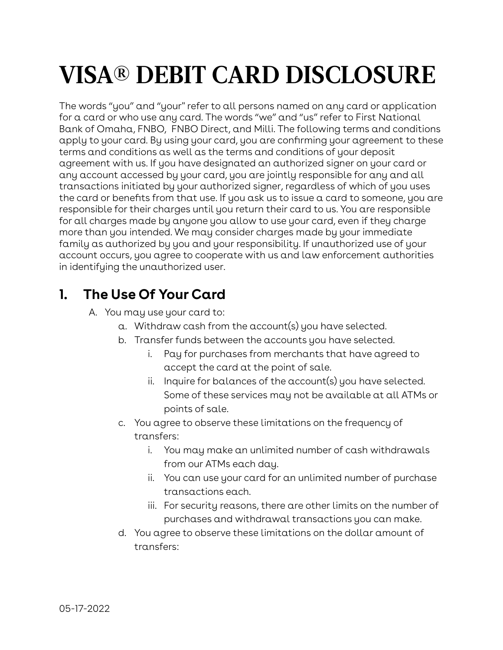# **VISA® DEBIT CARD DISCLOSURE**

The words "you" and "your'' refer to all persons named on any card or application for a card or who use any card. The words "we" and "us" refer to First National Bank of Omaha, FNBO, FNBO Direct, and Milli. The following terms and conditions apply to your card. By using your card, you are confirming your agreement to these terms and conditions as well as the terms and conditions of your deposit agreement with us. If you have designated an authorized signer on your card or any account accessed by your card, you are jointly responsible for any and all transactions initiated by your authorized signer, regardless of which of you uses the card or benefits from that use. If you ask us to issue a card to someone, you are responsible for their charges until you return their card to us. You are responsible for all charges made by anyone you allow to use your card, even if they charge more than you intended. We may consider charges made by your immediate family as authorized by you and your responsibility. If unauthorized use of your account occurs, you agree to cooperate with us and law enforcement authorities in identifying the unauthorized user.

## **1. The Use Of Your Card**

- A. You may use your card to:
	- a. Withdraw cash from the account(s) you have selected.
	- b. Transfer funds between the accounts you have selected.
		- i. Pay for purchases from merchants that have agreed to accept the card at the point of sale.
		- ii. Inquire for balances of the account(s) you have selected. Some of these services may not be available at all ATMs or points of sale.
	- c. You agree to observe these limitations on the frequency of transfers:
		- i. You may make an unlimited number of cash withdrawals from our ATMs each day.
		- ii. You can use your card for an unlimited number of purchase transactions each.
		- iii. For security reasons, there are other limits on the number of purchases and withdrawal transactions you can make.
	- d. You agree to observe these limitations on the dollar amount of transfers: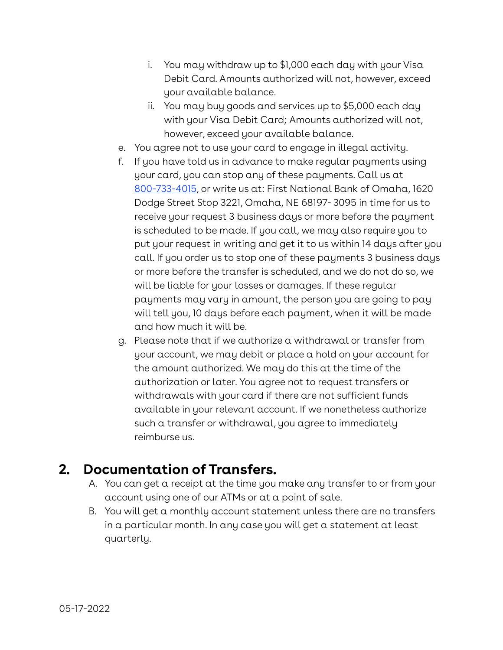- i. You may withdraw up to \$1,000 each day with your Visa Debit Card. Amounts authorized will not, however, exceed your available balance.
- ii. You may buy goods and services up to \$5,000 each day with your Visa Debit Card; Amounts authorized will not, however, exceed your available balance.
- e. You agree not to use your card to engage in illegal activity.
- f. If you have told us in advance to make regular payments using your card, you can stop any of these payments. Call us at [800-733-4015](tel:800-733-4015), or write us at: First National Bank of Omaha, 1620 Dodge Street Stop 3221, Omaha, NE 68197- 3095 in time for us to receive your request 3 business days or more before the payment is scheduled to be made. If you call, we may also require you to put your request in writing and get it to us within 14 days after you call. If you order us to stop one of these payments 3 business days or more before the transfer is scheduled, and we do not do so, we will be liable for your losses or damages. If these regular payments may vary in amount, the person you are going to pay will tell you, 10 days before each payment, when it will be made and how much it will be.
- g. Please note that if we authorize a withdrawal or transfer from your account, we may debit or place a hold on your account for the amount authorized. We may do this at the time of the authorization or later. You agree not to request transfers or withdrawals with your card if there are not sufficient funds available in your relevant account. If we nonetheless authorize such a transfer or withdrawal, you agree to immediately reimburse us.

### **2. Documentation of Transfers.**

- A. You can get a receipt at the time you make any transfer to or from your account using one of our ATMs or at a point of sale.
- B. You will get a monthly account statement unless there are no transfers in a particular month. In any case you will get a statement at least quarterly.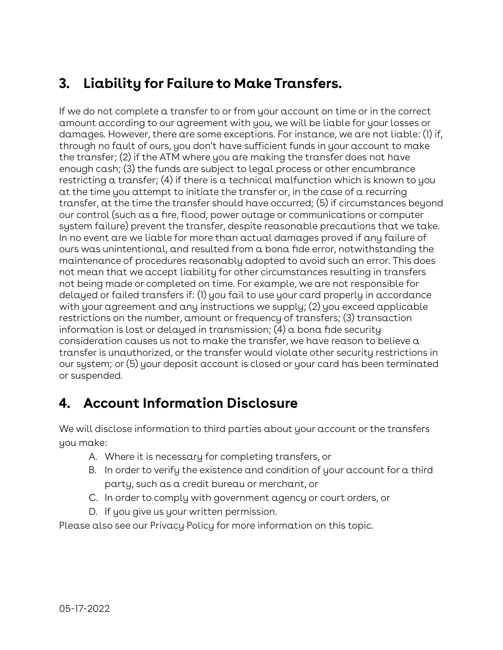## **3. Liability for Failure to Make Transfers.**

If we do not complete a transfer to or from your account on time or in the correct amount according to our agreement with you, we will be liable for your losses or damages. However, there are some exceptions. For instance, we are not liable: (1) if, through no fault of ours, you don't have sufficient funds in your account to make the transfer; (2) if the ATM where you are making the transfer does not have enough cash; (3) the funds are subject to legal process or other encumbrance restricting a transfer; (4) if there is a technical malfunction which is known to you at the time you attempt to initiate the transfer or, in the case of a recurring transfer, at the time the transfer should have occurred; (5) if circumstances beyond our control (such as a fire, flood, power outage or communications or computer system failure) prevent the transfer, despite reasonable precautions that we take. In no event are we liable for more than actual damages proved if any failure of ours was unintentional, and resulted from a bona fide error, notwithstanding the maintenance of procedures reasonably adopted to avoid such an error. This does not mean that we accept liability for other circumstances resulting in transfers not being made or completed on time. For example, we are not responsible for delayed or failed transfers if: (1) you fail to use your card properly in accordance with your agreement and any instructions we supply; (2) you exceed applicable restrictions on the number, amount or frequency of transfers; (3) transaction information is lost or delayed in transmission; (4) a bona fide security consideration causes us not to make the transfer, we have reason to believe a transfer is unauthorized, or the transfer would violate other security restrictions in our system; or (5) your deposit account is closed or your card has been terminated or suspended.

## **4. Account Information Disclosure**

We will disclose information to third parties about your account or the transfers you make:

- A. Where it is necessary for completing transfers, or
- B. In order to verify the existence and condition of your account for a third party, such as a credit bureau or merchant, or
- C. In order to comply with government agency or court orders, or
- D. If you give us your written permission.

Please also see our Privacy Policy for more information on this topic.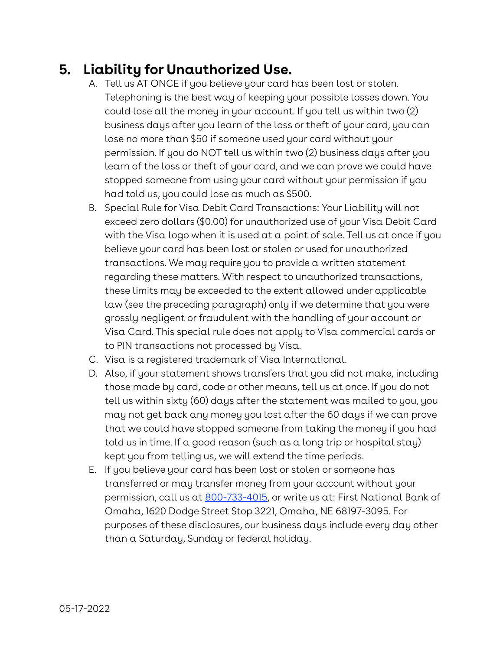### **5. Liability for Unauthorized Use.**

- A. Tell us AT ONCE if you believe your card has been lost or stolen. Telephoning is the best way of keeping your possible losses down. You could lose all the money in your account. If you tell us within two (2) business days after you learn of the loss or theft of your card, you can lose no more than \$50 if someone used your card without your permission. If you do NOT tell us within two (2) business days after you learn of the loss or theft of your card, and we can prove we could have stopped someone from using your card without your permission if you had told us, you could lose as much as \$500.
- B. Special Rule for Visa Debit Card Transactions: Your Liability will not exceed zero dollars (\$0.00) for unauthorized use of your Visa Debit Card with the Visa logo when it is used at a point of sale. Tell us at once if you believe your card has been lost or stolen or used for unauthorized transactions. We may require you to provide a written statement regarding these matters. With respect to unauthorized transactions, these limits may be exceeded to the extent allowed under applicable law (see the preceding paragraph) only if we determine that you were grossly negligent or fraudulent with the handling of your account or Visa Card. This special rule does not apply to Visa commercial cards or to PIN transactions not processed by Visa.
- C. Visa is a registered trademark of Visa International.
- D. Also, if your statement shows transfers that you did not make, including those made by card, code or other means, tell us at once. If you do not tell us within sixty (60) days after the statement was mailed to you, you may not get back any money you lost after the 60 days if we can prove that we could have stopped someone from taking the money if you had told us in time. If a good reason (such as a long trip or hospital stay) kept you from telling us, we will extend the time periods.
- E. If you believe your card has been lost or stolen or someone has transferred or may transfer money from your account without your permission, call us at [800-733-4015,](tel:800-733-4015) or write us at: First National Bank of Omaha, 1620 Dodge Street Stop 3221, Omaha, NE 68197-3095. For purposes of these disclosures, our business days include every day other than a Saturday, Sunday or federal holiday.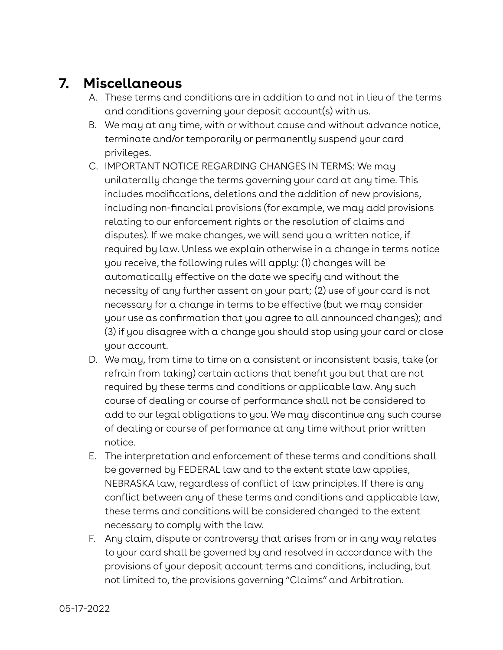#### **7. Miscellaneous**

- A. These terms and conditions are in addition to and not in lieu of the terms and conditions governing your deposit account(s) with us.
- B. We may at any time, with or without cause and without advance notice, terminate and/or temporarily or permanently suspend your card privileges.
- C. IMPORTANT NOTICE REGARDING CHANGES IN TERMS: We may unilaterally change the terms governing your card at any time. This includes modifications, deletions and the addition of new provisions, including non-financial provisions (for example, we may add provisions relating to our enforcement rights or the resolution of claims and disputes). If we make changes, we will send you a written notice, if required by law. Unless we explain otherwise in a change in terms notice you receive, the following rules will apply: (1) changes will be automatically effective on the date we specify and without the necessity of any further assent on your part; (2) use of your card is not necessary for a change in terms to be effective (but we may consider your use as confirmation that you agree to all announced changes); and (3) if you disagree with a change you should stop using your card or close your account.
- D. We may, from time to time on a consistent or inconsistent basis, take (or refrain from taking) certain actions that benefit you but that are not required by these terms and conditions or applicable law. Any such course of dealing or course of performance shall not be considered to add to our legal obligations to you. We may discontinue any such course of dealing or course of performance at any time without prior written notice.
- E. The interpretation and enforcement of these terms and conditions shall be governed by FEDERAL law and to the extent state law applies, NEBRASKA law, regardless of conflict of law principles. If there is any conflict between any of these terms and conditions and applicable law, these terms and conditions will be considered changed to the extent necessary to comply with the law.
- F. Any claim, dispute or controversy that arises from or in any way relates to your card shall be governed by and resolved in accordance with the provisions of your deposit account terms and conditions, including, but not limited to, the provisions governing "Claims" and Arbitration.